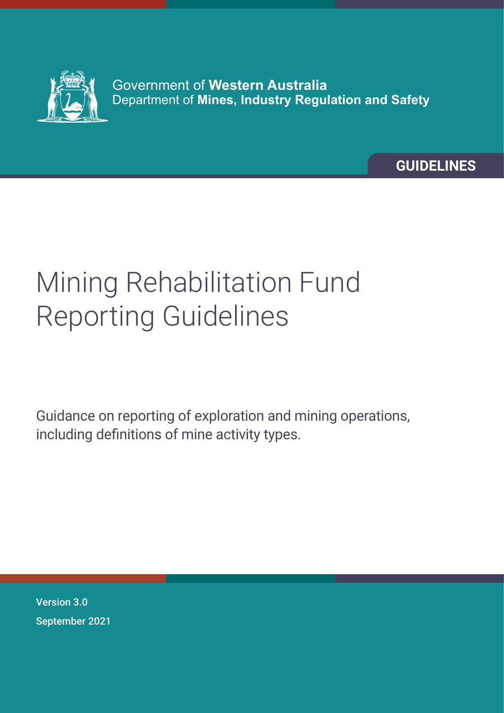

Government of **Western Australia** Department of **Mines, Industry Regulation and Safety**

**GUIDELINES**

# Mining Rehabilitation Fund Reporting Guidelines

Guidance on reporting of exploration and mining operations, including definitions of mine activity types.

Version 3.0 September 2021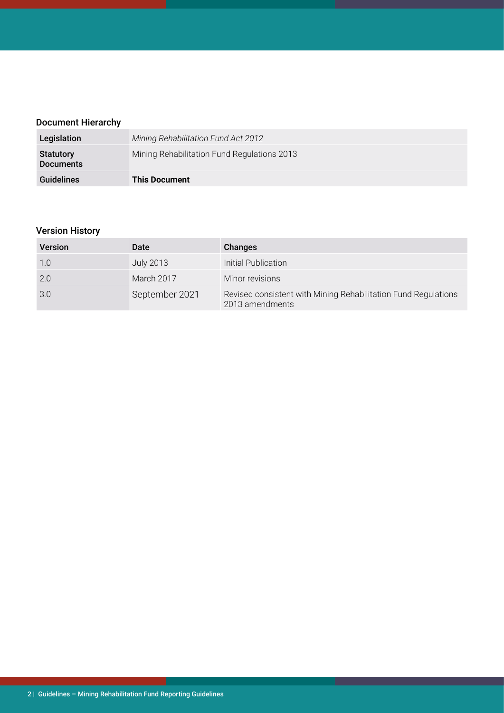# Document Hierarchy

| Legislation                          | Mining Rehabilitation Fund Act 2012         |
|--------------------------------------|---------------------------------------------|
| <b>Statutory</b><br><b>Documents</b> | Mining Rehabilitation Fund Regulations 2013 |
| <b>Guidelines</b>                    | <b>This Document</b>                        |

# Version History

| <b>Version</b> | Date              | Changes                                                                           |
|----------------|-------------------|-----------------------------------------------------------------------------------|
| 1.0            | <b>July 2013</b>  | Initial Publication                                                               |
| 2.0            | <b>March 2017</b> | Minor revisions                                                                   |
| 3.0            | September 2021    | Revised consistent with Mining Rehabilitation Fund Regulations<br>2013 amendments |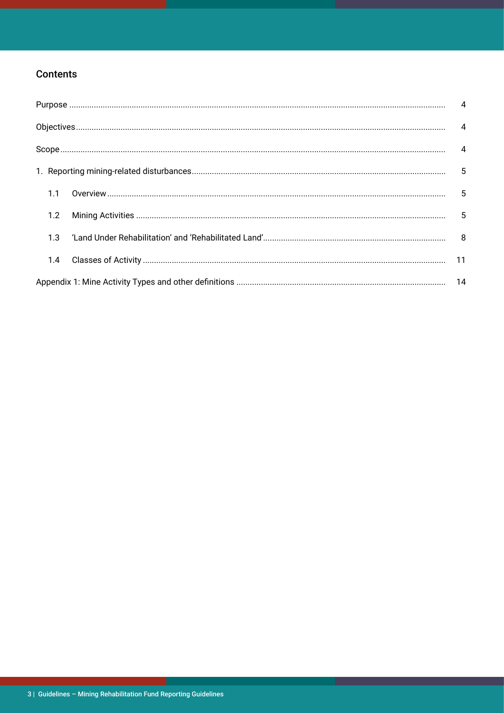# **Contents**

| 1.1 |  |
|-----|--|
| 1.2 |  |
| 1.3 |  |
| 1.4 |  |
|     |  |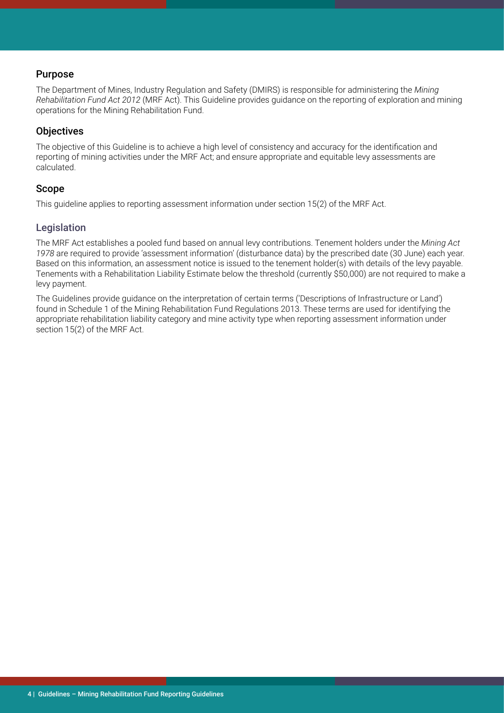# <span id="page-3-0"></span>Purpose

The Department of Mines, Industry Regulation and Safety (DMIRS) is responsible for administering the *Mining Rehabilitation Fund Act 2012* (MRF Act). This Guideline provides guidance on the reporting of exploration and mining operations for the Mining Rehabilitation Fund.

# **Objectives**

The objective of this Guideline is to achieve a high level of consistency and accuracy for the identification and reporting of mining activities under the MRF Act; and ensure appropriate and equitable levy assessments are calculated.

# Scope

This guideline applies to reporting assessment information under section 15(2) of the MRF Act.

# Legislation

The MRF Act establishes a pooled fund based on annual levy contributions. Tenement holders under the *Mining Act 1978* are required to provide 'assessment information' (disturbance data) by the prescribed date (30 June) each year. Based on this information, an assessment notice is issued to the tenement holder(s) with details of the levy payable. Tenements with a Rehabilitation Liability Estimate below the threshold (currently \$50,000) are not required to make a levy payment.

The Guidelines provide guidance on the interpretation of certain terms ('Descriptions of Infrastructure or Land') found in Schedule 1 of the Mining Rehabilitation Fund Regulations 2013. These terms are used for identifying the appropriate rehabilitation liability category and mine activity type when reporting assessment information under section 15(2) of the MRF Act.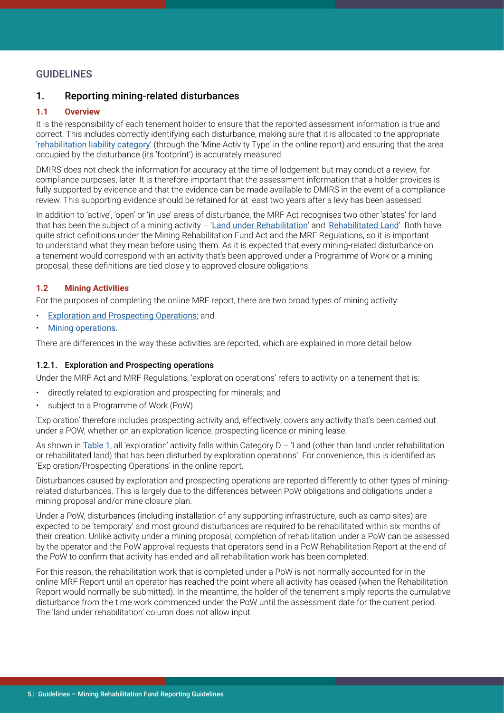# <span id="page-4-0"></span>**GUIDELINES**

## 1. Reporting mining-related disturbances

#### **1.1 Overview**

It is the responsibility of each tenement holder to ensure that the reported assessment information is true and correct. This includes correctly identifying each disturbance, making sure that it is allocated to the appropriate '[rehabilitation liability category](#page-9-0)' (through the 'Mine Activity Type' in the online report) and ensuring that the area occupied by the disturbance (its 'footprint') is accurately measured.

DMIRS does not check the information for accuracy at the time of lodgement but may conduct a review, for compliance purposes, later. It is therefore important that the assessment information that a holder provides is fully supported by evidence and that the evidence can be made available to DMIRS in the event of a compliance review. This supporting evidence should be retained for at least two years after a levy has been assessed.

In addition to 'active', 'open' or 'in use' areas of disturbance, the MRF Act recognises two other 'states' for land that has been the subject of a mining activity  $-$  '[Land under Rehabilitation](#page-7-0)' and '[Rehabilitated Land](#page-7-0)'. Both have quite strict definitions under the Mining Rehabilitation Fund Act and the MRF Regulations, so it is important to understand what they mean before using them. As it is expected that every mining-related disturbance on a tenement would correspond with an activity that's been approved under a Programme of Work or a mining proposal, these definitions are tied closely to approved closure obligations.

#### **1.2 Mining Activities**

For the purposes of completing the online MRF report, there are two broad types of mining activity:

- Exploration and Prospecting Operations; and
- **[Mining operations](#page-7-0).**

There are differences in the way these activities are reported, which are explained in more detail below.

#### 1.2.1. Exploration and Prospecting operations

Under the MRF Act and MRF Regulations, 'exploration operations' refers to activity on a tenement that is:

- directly related to exploration and prospecting for minerals; and
- subject to a Programme of Work (PoW).

'Exploration' therefore includes prospecting activity and, effectively, covers any activity that's been carried out under a POW, whether on an exploration licence, prospecting licence or mining lease.

As shown in [Table 1](#page-9-0), all 'exploration' activity falls within Category  $D - '$  Land (other than land under rehabilitation or rehabilitated land) that has been disturbed by exploration operations'. For convenience, this is identified as 'Exploration/Prospecting Operations' in the online report.

Disturbances caused by exploration and prospecting operations are reported differently to other types of miningrelated disturbances. This is largely due to the differences between PoW obligations and obligations under a mining proposal and/or mine closure plan.

Under a PoW, disturbances (including installation of any supporting infrastructure, such as camp sites) are expected to be 'temporary' and most ground disturbances are required to be rehabilitated within six months of their creation. Unlike activity under a mining proposal, completion of rehabilitation under a PoW can be assessed by the operator and the PoW approval requests that operators send in a PoW Rehabilitation Report at the end of the PoW to confirm that activity has ended and all rehabilitation work has been completed.

For this reason, the rehabilitation work that is completed under a PoW is not normally accounted for in the online MRF Report until an operator has reached the point where all activity has ceased (when the Rehabilitation Report would normally be submitted). In the meantime, the holder of the tenement simply reports the cumulative disturbance from the time work commenced under the PoW until the assessment date for the current period. The 'land under rehabilitation' column does not allow input.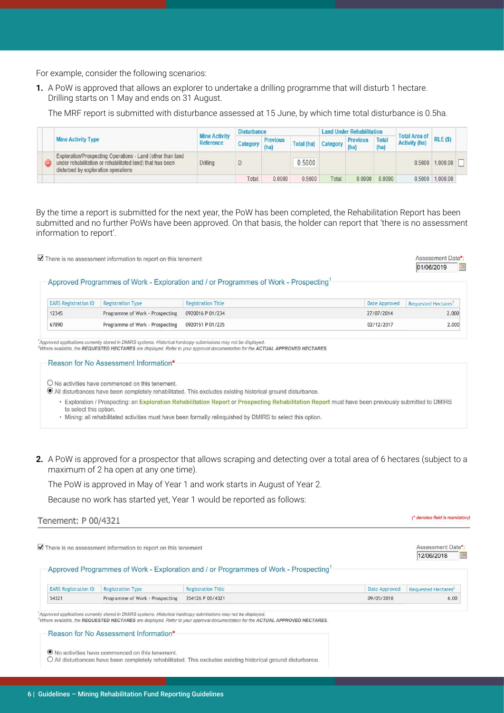For example, consider the following scenarios:

**1.** A PoW is approved that allows an explorer to undertake a drilling programme that will disturb 1 hectare. Drilling starts on 1 May and ends on 31 August.

The MRF report is submitted with disturbance assessed at 15 June, by which time total disturbance is 0.5ha.

|  |                                                                                                                                                                |                                          | <b>Disturbance</b> |                 |            |          | <b>Land Under Rehabilitation</b> |                      | <b>Total Area of</b> |                     |  |
|--|----------------------------------------------------------------------------------------------------------------------------------------------------------------|------------------------------------------|--------------------|-----------------|------------|----------|----------------------------------|----------------------|----------------------|---------------------|--|
|  | <b>Mine Activity Type</b>                                                                                                                                      | <b>Mine Activity</b><br><b>Reference</b> | Category (ha)      | <b>Previous</b> | Total (ha) | Category | <b>Previous</b><br>(ha)          | <b>Total</b><br>(ha) | <b>Activity (ha)</b> | $RLE($ \$)          |  |
|  | Exploration/Prospecting Operations - Land (other than land<br>under rehabilitation or rehabilitated land) that has been<br>disturbed by exploration operations | <b>Drilling</b>                          |                    |                 | 0.5000     |          |                                  |                      |                      | $0.5000$ $1,000.00$ |  |
|  |                                                                                                                                                                |                                          | Total:             | 0.0000          | 0.5000     | Total:   | 0.0000                           | 0.0000               |                      | 0.5000 1,000.00     |  |

By the time a report is submitted for the next year, the PoW has been completed, the Rehabilitation Report has been submitted and no further PoWs have been approved. On that basis, the holder can report that 'there is no assessment information to report'.

Assessment Date\*  $\blacktriangleright$  There is no assessment information to report on this tenement 01/06/2019 Approved Programmes of Work - Exploration and / or Programmes of Work - Prospecting **Registration Title** Date Approved **EARS Registration ID Registration Type** Requested Hectares<sup>2</sup> 12345 Programme of Work - Prospecting 0920016 P 01/234 27/07/2014  $2,000$ 67890  $02/12/2017$  $2.000$ Programme of Work - Prospecting 0920151 P 01/235 .<br>Approved applications currently stored in DMIRS systems. Historical hardcopy submissions may not be displayed 2Where available, the REQUESTED HECTARES are displayed. Refer to your approval documentation for the ACTUAL APPROVED HECTARES. Reason for No Assessment Information\*

O No activities have commenced on this tenement.

O All disturbances have been completely rehabilitated. This excludes existing historical ground disturbance.

- . Exploration / Prospecting: an Exploration Rehabilitation Report or Prospecting Rehabilitation Report must have been previously submitted to DMIRS to select this option.
- Mining: all rehabilitated activities must have been formally relinquished by DMIRS to select this option.
- **2.** A PoW is approved for a prospector that allows scraping and detecting over a total area of 6 hectares (subject to a maximum of 2 ha open at any one time).

(\* denotes field is mandatory)

The PoW is approved in May of Year 1 and work starts in August of Year 2.

Because no work has started yet, Year 1 would be reported as follows:

Tenement: P 00/4321

Assessment Date\*:  $\overline{\mathbf{V}}$  There is no assessment information to report on this tenement 12/06/2018 E Approved Programmes of Work - Exploration and / or Programmes of Work - Prospecting **EARS** Registration ID **Registration Type Registration Title** Date Approved Requested Hectares<sup>2</sup> 54321 Programme of Work - Prospecting 354126 P 00/4321 09/05/2018  $6.00$ .<br>Approved applications currently stored in DMIRS systems. Historical hardcopy submissions may not be displayed.

2<br>Where available, the REQUESTED HECTARES are displayed. Refer to your approval documentation for the ACTUAL APPROVED HECTARES

Reason for No Assessment Information\* ● No activities have commenced on this tenement. O All disturbances have been completely rehabilitated. This excludes existing historical ground disturbance.

6 | Guidelines – Mining Rehabilitation Fund Reporting Guidelines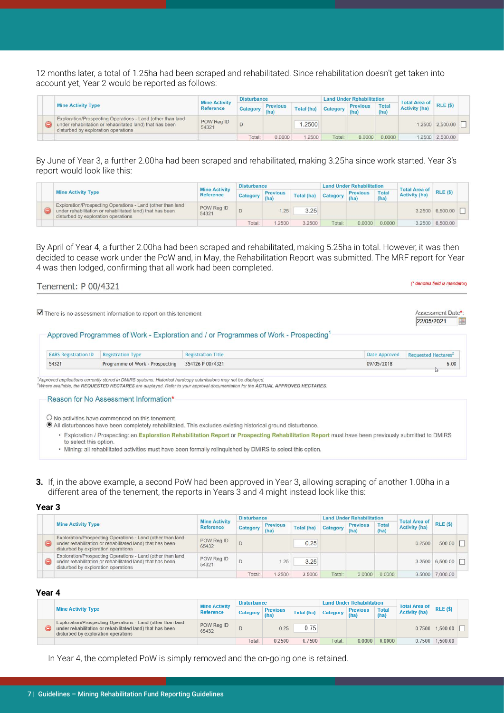12 months later, a total of 1.25ha had been scraped and rehabilitated. Since rehabilitation doesn't get taken into account yet, Year 2 would be reported as follows:

|                                                                                                                                                                |                                          | <b>Disturbance</b> |                         |            |          | <b>Land Under Rehabilitation</b> |               |                                                    |                 |  |
|----------------------------------------------------------------------------------------------------------------------------------------------------------------|------------------------------------------|--------------------|-------------------------|------------|----------|----------------------------------|---------------|----------------------------------------------------|-----------------|--|
| <b>Mine Activity Type</b>                                                                                                                                      | <b>Mine Activity</b><br><b>Reference</b> | <b>Category</b>    | <b>Previous</b><br>(ha) | Total (ha) | Category | <b>Previous</b><br>(ha)          | Total<br>(ha) | Total Area of <b>Learn</b><br><b>Activity (ha)</b> | $RLE($ \$)      |  |
| Exploration/Prospecting Operations - Land (other than land<br>under rehabilitation or rehabilitated land) that has been<br>disturbed by exploration operations | POW Req ID<br>54321                      |                    |                         | .2500      |          |                                  |               |                                                    | 1.2500 2.500.00 |  |
|                                                                                                                                                                |                                          | Total:             | 0.0000                  | .2500      | Total:   | 0.0000                           | 0.0000        |                                                    | 1,2500 2,500.00 |  |

By June of Year 3, a further 2.00ha had been scraped and rehabilitated, making 3.25ha since work started. Year 3's report would look like this:

|  |                                                                                                                                                                | <b>Mine Activity</b> | <b>Disturbance</b> |                 |            |        | <b>Land Under Rehabilitation</b>     |               | <b>Total Area of</b> |                 |  |
|--|----------------------------------------------------------------------------------------------------------------------------------------------------------------|----------------------|--------------------|-----------------|------------|--------|--------------------------------------|---------------|----------------------|-----------------|--|
|  | <b>Mine Activity Type</b>                                                                                                                                      | <b>Reference</b>     | Category           | <b>Previous</b> | Total (ha) |        | <b>Previous</b><br>nal Category (ha) | Total<br>(ha) | <b>Activity (ha)</b> | RLE(S)          |  |
|  | Exploration/Prospecting Operations - Land (other than land<br>under rehabilitation or rehabilitated land) that has been<br>disturbed by exploration operations | POW Reg ID<br>54321  |                    |                 | 3.25       |        |                                      |               |                      | 3.2500 6.500.00 |  |
|  |                                                                                                                                                                |                      | Total:             | 2500            | 3.2500     | Total: | 0.0000                               | 0.0000        |                      | 3.2500 6.500.00 |  |

By April of Year 4, a further 2.00ha had been scraped and rehabilitated, making 5.25ha in total. However, it was then decided to cease work under the PoW and, in May, the Rehabilitation Report was submitted. The MRF report for Year 4 was then lodged, confirming that all work had been completed.

| Tenement: P 00/4321 |  |  |
|---------------------|--|--|
|                     |  |  |

(\* denotes field is mandatory

|                             | There is no assessment information to report on this tenement |                                                                                                  |               | Assessment Date*:<br>22/05/2021 |
|-----------------------------|---------------------------------------------------------------|--------------------------------------------------------------------------------------------------|---------------|---------------------------------|
|                             |                                                               | Approved Programmes of Work - Exploration and / or Programmes of Work - Prospecting <sup>1</sup> |               |                                 |
|                             |                                                               |                                                                                                  |               |                                 |
| <b>EARS Registration ID</b> | <b>Registration Type</b>                                      | <b>Registration Title</b>                                                                        | Date Approved | Requested Hectares <sup>2</sup> |

Where available, the REQUESTED HECTARES are displayed. Refer to your approval documentation for the ACTUAL APPROVED HECTARES.

Reason for No Assessment Information\*

O No activities have commenced on this tenement.

- In All disturbances have been completely rehabilitated. This excludes existing historical ground disturbance.
	- Exploration / Prospecting: an Exploration Rehabilitation Report or Prospecting Rehabilitation Report must have been previously submitted to DMIRS to select this option.
	- . Mining: all rehabilitated activities must have been formally relinquished by DMIRS to select this option.
- **3.** If, in the above example, a second PoW had been approved in Year 3, allowing scraping of another 1.00ha in a different area of the tenement, the reports in Years 3 and 4 might instead look like this:

#### **Year 3**

|  |                                                                                                                                                                | <b>Mine Activity</b> | <b>Disturbance</b> |                         |            |          | <b>Land Under Rehabilitation</b> |               | <b>Total Area of</b> |                          |  |
|--|----------------------------------------------------------------------------------------------------------------------------------------------------------------|----------------------|--------------------|-------------------------|------------|----------|----------------------------------|---------------|----------------------|--------------------------|--|
|  | <b>Mine Activity Type</b>                                                                                                                                      | <b>Reference</b>     | Category           | <b>Previous</b><br>(ha) | Total (ha) | Category | <b>Previous</b><br>(ha)          | Total<br>(ha) | <b>Activity (ha)</b> | RLE(S)                   |  |
|  | Exploration/Prospecting Operations - Land (other than land<br>under rehabilitation or rehabilitated land) that has been<br>disturbed by exploration operations | POW Reg ID<br>65432  |                    |                         | 0.25       |          |                                  |               | 0.2500               | 500.00                   |  |
|  | Exploration/Prospecting Operations - Land (other than land<br>under rehabilitation or rehabilitated land) that has been<br>disturbed by exploration operations | POW Reg ID<br>54321  |                    | .25                     | 3.25       |          |                                  |               |                      | $3.2500$ 6,500.00 $\Box$ |  |
|  |                                                                                                                                                                |                      | Total:             | .2500                   | 3.5000     | Total:   | 0.0000                           | 0.0000        |                      | 3.5000 7.000.00          |  |

#### **Year 4**

|  |                                                                                                                                                                | <b>Mine Activity</b> | <b>Disturbance</b> |                         |                   |          | Land Under Rehabilitation |                      | <b>Total Area of</b> |                     |  |
|--|----------------------------------------------------------------------------------------------------------------------------------------------------------------|----------------------|--------------------|-------------------------|-------------------|----------|---------------------------|----------------------|----------------------|---------------------|--|
|  | <b>Mine Activity Type</b>                                                                                                                                      | <b>Reference</b>     | Category           | <b>Previous</b><br>(ha) | <b>Total (ha)</b> | Category | <b>Previous</b><br>(ha)   | <b>Total</b><br>(ha) | <b>Activity (ha)</b> | <b>RLE (\$)</b>     |  |
|  | Exploration/Prospecting Operations - Land (other than land<br>under rehabilitation or rehabilitated land) that has been<br>disturbed by exploration operations | POW Rea ID<br>65432  |                    | 0.25                    | 0.75              |          |                           |                      |                      | $0.7500$ 1.500.00   |  |
|  |                                                                                                                                                                |                      | Total:             | 0.2500                  | 0.7500            | Total:   | 0.0000                    | 0.0000               |                      | $0.7500$   1,500.00 |  |

In Year 4, the completed PoW is simply removed and the on-going one is retained.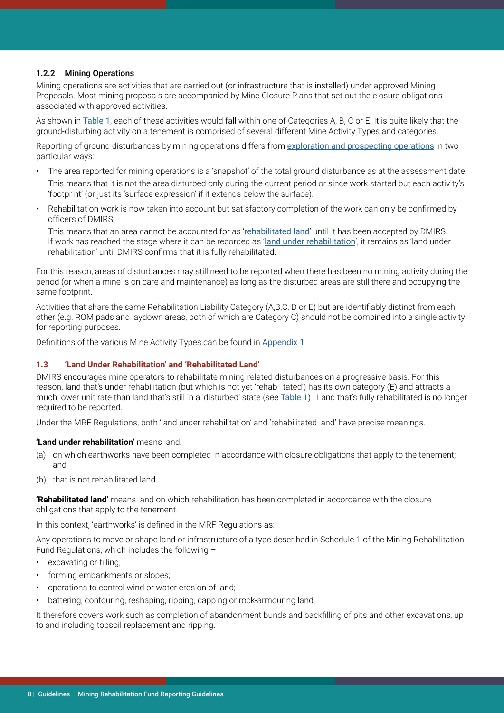#### <span id="page-7-0"></span>1.2.2 Mining Operations

Mining operations are activities that are carried out (or infrastructure that is installed) under approved Mining Proposals. Most mining proposals are accompanied by Mine Closure Plans that set out the closure obligations associated with approved activities.

As shown in [Table 1](#page-9-0), each of these activities would fall within one of Categories A, B, C or E. It is quite likely that the ground-disturbing activity on a tenement is comprised of several different Mine Activity Types and categories.

Reporting of ground disturbances by mining operations differs from [exploration and prospecting operations](#page-4-0) in two particular ways:

- The area reported for mining operations is a 'snapshot' of the total ground disturbance as at the assessment date. This means that it is not the area disturbed only during the current period or since work started but each activity's 'footprint' (or just its 'surface expression' if it extends below the surface).
- Rehabilitation work is now taken into account but satisfactory completion of the work can only be confirmed by officers of DMIRS.

This means that an area cannot be accounted for as 'rehabilitated land' until it has been accepted by DMIRS. If work has reached the stage where it can be recorded as 'land under rehabilitation', it remains as 'land under rehabilitation' until DMIRS confirms that it is fully rehabilitated.

For this reason, areas of disturbances may still need to be reported when there has been no mining activity during the period (or when a mine is on care and maintenance) as long as the disturbed areas are still there and occupying the same footprint.

Activities that share the same Rehabilitation Liability Category (A,B,C, D or E) but are identifiably distinct from each other (e.g. ROM pads and laydown areas, both of which are Category C) should not be combined into a single activity for reporting purposes.

Definitions of the various Mine Activity Types can be found in [Appendix 1](#page-13-0).

#### **1.3 'Land Under Rehabilitation' and 'Rehabilitated Land'**

DMIRS encourages mine operators to rehabilitate mining-related disturbances on a progressive basis. For this reason, land that's under rehabilitation (but which is not yet 'rehabilitated') has its own category (E) and attracts a much lower unit rate than land that's still in a 'disturbed' state (see [Table 1](#page-9-0)) . Land that's fully rehabilitated is no longer required to be reported.

Under the MRF Regulations, both 'land under rehabilitation' and 'rehabilitated land' have precise meanings.

#### **'Land under rehabilitation'** means land:

- (a) on which earthworks have been completed in accordance with closure obligations that apply to the tenement; and
- (b) that is not rehabilitated land.

**'Rehabilitated land'** means land on which rehabilitation has been completed in accordance with the closure obligations that apply to the tenement.

In this context, 'earthworks' is defined in the MRF Regulations as:

Any operations to move or shape land or infrastructure of a type described in Schedule 1 of the Mining Rehabilitation Fund Regulations, which includes the following –

- excavating or filling;
- forming embankments or slopes:
- operations to control wind or water erosion of land;
- battering, contouring, reshaping, ripping, capping or rock-armouring land.

It therefore covers work such as completion of abandonment bunds and backfilling of pits and other excavations, up to and including topsoil replacement and ripping.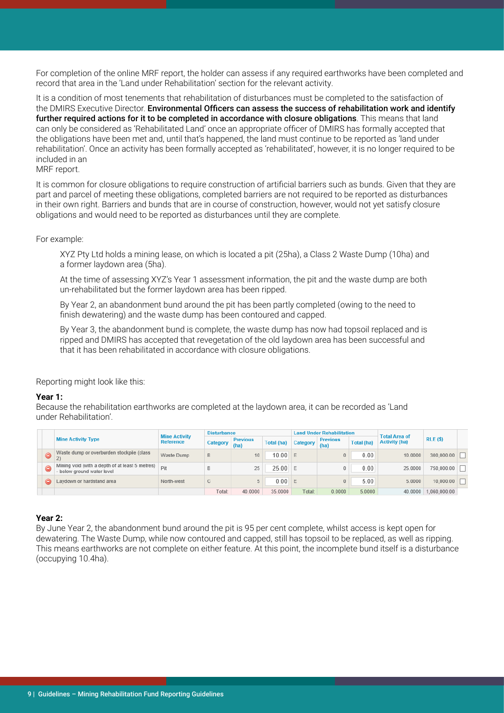For completion of the online MRF report, the holder can assess if any required earthworks have been completed and record that area in the 'Land under Rehabilitation' section for the relevant activity.

It is a condition of most tenements that rehabilitation of disturbances must be completed to the satisfaction of the DMIRS Executive Director. Environmental Officers can assess the success of rehabilitation work and identify further required actions for it to be completed in accordance with closure obligations. This means that land can only be considered as 'Rehabilitated Land' once an appropriate officer of DMIRS has formally accepted that the obligations have been met and, until that's happened, the land must continue to be reported as 'land under rehabilitation'. Once an activity has been formally accepted as 'rehabilitated', however, it is no longer required to be included in an

MRF report.

It is common for closure obligations to require construction of artificial barriers such as bunds. Given that they are part and parcel of meeting these obligations, completed barriers are not required to be reported as disturbances in their own right. Barriers and bunds that are in course of construction, however, would not yet satisfy closure obligations and would need to be reported as disturbances until they are complete.

For example:

XYZ Pty Ltd holds a mining lease, on which is located a pit (25ha), a Class 2 Waste Dump (10ha) and a former laydown area (5ha).

At the time of assessing XYZ's Year 1 assessment information, the pit and the waste dump are both un-rehabilitated but the former laydown area has been ripped.

By Year 2, an abandonment bund around the pit has been partly completed (owing to the need to finish dewatering) and the waste dump has been contoured and capped.

By Year 3, the abandonment bund is complete, the waste dump has now had topsoil replaced and is ripped and DMIRS has accepted that revegetation of the old laydown area has been successful and that it has been rehabilitated in accordance with closure obligations.

Reporting might look like this:

#### **Year 1:**

Because the rehabilitation earthworks are completed at the laydown area, it can be recorded as 'Land under Rehabilitation'.

|    |                                                                               |                                   | <b>Disturbance</b> |                         |                   |          | <b>Land Under Rehabilitation</b> |                   | <b>Total Area of</b> |              |  |
|----|-------------------------------------------------------------------------------|-----------------------------------|--------------------|-------------------------|-------------------|----------|----------------------------------|-------------------|----------------------|--------------|--|
|    | <b>Mine Activity Type</b>                                                     | <b>Mine Activity</b><br>Reference | Category           | <b>Previous</b><br>(ha) | <b>Total (ha)</b> | Category | <b>Previous</b><br>(ha)          | <b>Total (ha)</b> | <b>Activity (ha)</b> | RLE(S)       |  |
| 9. | Waste dump or overburden stockpile (class                                     | Waste Dump                        | B                  | 10                      | 10.00             |          |                                  | 0.00              | 10.0000              | 300,000.00   |  |
|    | Mining void (with a depth of at least 5 metres)<br>- below ground water level | Pit                               | в                  | 25                      | 25.00             | l F      |                                  | 0.00              | 25,0000              | 750,000.00   |  |
| ⊝  | Laydown or hardstand area                                                     | North-west                        | C                  |                         | 0.00              | l F      |                                  | 5.00              | 5.0000               | 10,000.00    |  |
|    |                                                                               |                                   | Total:             | 40.0000                 | 35,0000           | Total:   | 0.0000                           | 5.0000            | 40.0000              | 1.060.000.00 |  |

#### **Year 2:**

By June Year 2, the abandonment bund around the pit is 95 per cent complete, whilst access is kept open for dewatering. The Waste Dump, while now contoured and capped, still has topsoil to be replaced, as well as ripping. This means earthworks are not complete on either feature. At this point, the incomplete bund itself is a disturbance (occupying 10.4ha).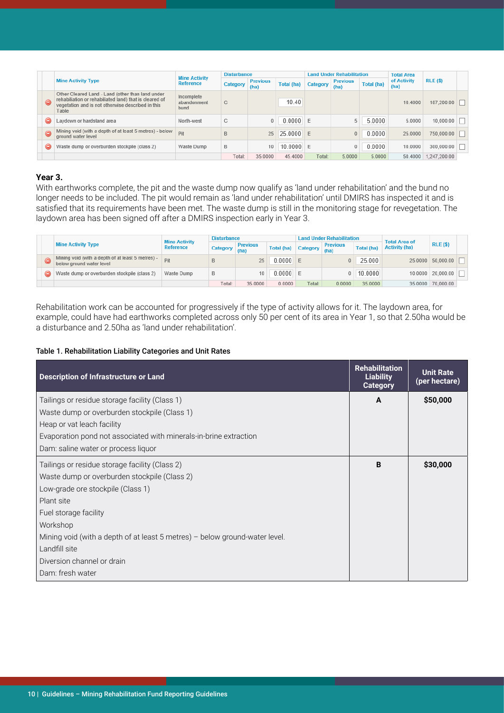<span id="page-9-0"></span>

|           |                                                                                                                                                                          | <b>Mine Activity</b>              | <b>Disturbance</b> |                         |                   |          | <b>Land Under Rehabilitation</b> |                   | <b>Total Area</b>   |              |  |
|-----------|--------------------------------------------------------------------------------------------------------------------------------------------------------------------------|-----------------------------------|--------------------|-------------------------|-------------------|----------|----------------------------------|-------------------|---------------------|--------------|--|
|           | <b>Mine Activity Type</b>                                                                                                                                                | Reference                         | Category           | <b>Previous</b><br>(ha) | <b>Total (ha)</b> | Category | <b>Previous</b><br>(ha)          | <b>Total (ha)</b> | of Activity<br>(ha) | $RLE($ \$)   |  |
| 0         | Other Cleared Land - Land (other than land under<br>rehabiliation or rehabiliated land) that is cleared of<br>vegetation and is not otherwise described in this<br>Table | Incomplete<br>abandonment<br>bund | C.                 |                         | 10.40             |          |                                  |                   | 10.4000             | 187,200.00   |  |
| ⊝         | Laydown or hardstand area                                                                                                                                                | North-west                        | C.                 | 0                       | 0.0000            | E        |                                  | 5.0000            | 5.0000              | 10,000.00    |  |
| $\bullet$ | Mining void (with a depth of at least 5 metres) - below<br>ground water level                                                                                            | Pit                               | B                  | 25                      | 25.0000           | E        | 0                                | 0.0000            | 25.0000             | 750,000.00   |  |
| 6         | Waste dump or overburden stockpile (class 2)                                                                                                                             | Waste Dump                        | B                  | 10 <sup>1</sup>         | 10.0000           | E        | 0                                | 0.0000            | 10.0000             | 300,000.00   |  |
|           |                                                                                                                                                                          |                                   | Total:             | 35,0000                 | 45.4000           | Total:   | 5.0000                           | 5.0000            | 50,4000             | 1.247.200.00 |  |

#### **Year 3.**

With earthworks complete, the pit and the waste dump now qualify as 'land under rehabilitation' and the bund no longer needs to be included. The pit would remain as 'land under rehabilitation' until DMIRS has inspected it and is satisfied that its requirements have been met. The waste dump is still in the monitoring stage for revegetation. The laydown area has been signed off after a DMIRS inspection early in Year 3.

|  |                                                                               | <b>Mine Activity</b> | <b>Disturbance</b> |                         |            | <b>Land Under Rehabilitation</b> |                         |                   | <b>Total Area of</b> |                   |  |
|--|-------------------------------------------------------------------------------|----------------------|--------------------|-------------------------|------------|----------------------------------|-------------------------|-------------------|----------------------|-------------------|--|
|  | <b>Mine Activity Type</b>                                                     | Reference            | Category           | <b>Previous</b><br>(ha) | Total (ha) | Category                         | <b>Previous</b><br>(ha) | <b>Total (ha)</b> | <b>Activity (ha)</b> | <b>RLE (\$)</b>   |  |
|  | Mining void (with a depth of at least 5 metres) -<br>below ground water level | Pit                  |                    | 25                      | 0.0000     |                                  | 0                       | 25.000            |                      | 25.0000 50,000.00 |  |
|  | Waste dump or overburden stockpile (class 2)                                  | Waste Dump           | B                  | 10                      | 0.0000     |                                  | 0                       | 10.0000           |                      | 10.0000 20,000.00 |  |
|  |                                                                               |                      | Total:             | 35,0000                 | 0.0000     | Total:                           | 0.0000                  | 35,0000           |                      | 35.0000 70.000.00 |  |

Rehabilitation work can be accounted for progressively if the type of activity allows for it. The laydown area, for example, could have had earthworks completed across only 50 per cent of its area in Year 1, so that 2.50ha would be a disturbance and 2.50ha as 'land under rehabilitation'.

#### Table 1. Rehabilitation Liability Categories and Unit Rates

| <b>Description of Infrastructure or Land</b>                                | <b>Rehabilitation</b><br><b>Liability</b><br><b>Category</b> | <b>Unit Rate</b><br>(per hectare) |
|-----------------------------------------------------------------------------|--------------------------------------------------------------|-----------------------------------|
| Tailings or residue storage facility (Class 1)                              | A                                                            | \$50,000                          |
| Waste dump or overburden stockpile (Class 1)                                |                                                              |                                   |
| Heap or vat leach facility                                                  |                                                              |                                   |
| Evaporation pond not associated with minerals-in-brine extraction           |                                                              |                                   |
| Dam: saline water or process liquor                                         |                                                              |                                   |
| Tailings or residue storage facility (Class 2)                              | B                                                            | \$30,000                          |
| Waste dump or overburden stockpile (Class 2)                                |                                                              |                                   |
| Low-grade ore stockpile (Class 1)                                           |                                                              |                                   |
| Plant site                                                                  |                                                              |                                   |
| Fuel storage facility                                                       |                                                              |                                   |
| Workshop                                                                    |                                                              |                                   |
| Mining void (with a depth of at least 5 metres) – below ground-water level. |                                                              |                                   |
| Landfill site                                                               |                                                              |                                   |
| Diversion channel or drain                                                  |                                                              |                                   |
| Dam: fresh water                                                            |                                                              |                                   |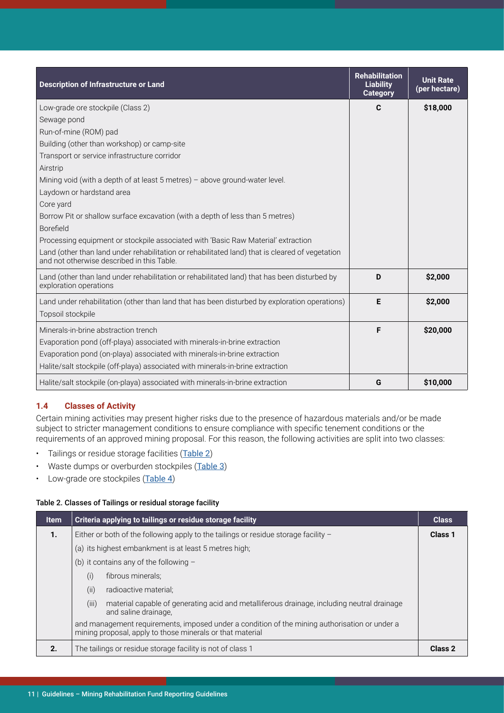<span id="page-10-0"></span>

| <b>Description of Infrastructure or Land</b>                                                                                                  | <b>Rehabilitation</b><br><b>Liability</b><br><b>Category</b> | <b>Unit Rate</b><br>(per hectare) |
|-----------------------------------------------------------------------------------------------------------------------------------------------|--------------------------------------------------------------|-----------------------------------|
| Low-grade ore stockpile (Class 2)                                                                                                             | C                                                            | \$18,000                          |
| Sewage pond                                                                                                                                   |                                                              |                                   |
| Run-of-mine (ROM) pad                                                                                                                         |                                                              |                                   |
| Building (other than workshop) or camp-site                                                                                                   |                                                              |                                   |
| Transport or service infrastructure corridor                                                                                                  |                                                              |                                   |
| Airstrip                                                                                                                                      |                                                              |                                   |
| Mining void (with a depth of at least $5$ metres) - above ground-water level.                                                                 |                                                              |                                   |
| Laydown or hardstand area                                                                                                                     |                                                              |                                   |
| Core yard                                                                                                                                     |                                                              |                                   |
| Borrow Pit or shallow surface excavation (with a depth of less than 5 metres)                                                                 |                                                              |                                   |
| Borefield                                                                                                                                     |                                                              |                                   |
| Processing equipment or stockpile associated with 'Basic Raw Material' extraction                                                             |                                                              |                                   |
| Land (other than land under rehabilitation or rehabilitated land) that is cleared of vegetation<br>and not otherwise described in this Table. |                                                              |                                   |
| Land (other than land under rehabilitation or rehabilitated land) that has been disturbed by<br>exploration operations                        | D                                                            | \$2,000                           |
| Land under rehabilitation (other than land that has been disturbed by exploration operations)                                                 | E                                                            | \$2,000                           |
| Topsoil stockpile                                                                                                                             |                                                              |                                   |
| Minerals-in-brine abstraction trench                                                                                                          | F                                                            | \$20,000                          |
| Evaporation pond (off-playa) associated with minerals-in-brine extraction                                                                     |                                                              |                                   |
| Evaporation pond (on-playa) associated with minerals-in-brine extraction                                                                      |                                                              |                                   |
| Halite/salt stockpile (off-playa) associated with minerals-in-brine extraction                                                                |                                                              |                                   |
| Halite/salt stockpile (on-playa) associated with minerals-in-brine extraction                                                                 | G                                                            | \$10,000                          |

# **1.4 Classes of Activity**

Certain mining activities may present higher risks due to the presence of hazardous materials and/or be made subject to stricter management conditions to ensure compliance with specific tenement conditions or the requirements of an approved mining proposal. For this reason, the following activities are split into two classes:

- Tailings or residue storage facilities (Table 2)
- Waste dumps or overburden stockpiles (Table 3)
- Low-grade ore stockpiles ([Table](#page-11-0) 4)

#### Table 2. Classes of Tailings or residual storage facility

| <b>Item</b> | Criteria applying to tailings or residue storage facility                                                                                                  | <b>Class</b>   |  |  |
|-------------|------------------------------------------------------------------------------------------------------------------------------------------------------------|----------------|--|--|
| 1.          | Either or both of the following apply to the tailings or residue storage facility $-$                                                                      |                |  |  |
|             | (a) its highest embankment is at least 5 metres high;                                                                                                      |                |  |  |
|             | (b) it contains any of the following $-$                                                                                                                   |                |  |  |
|             | (i)<br>fibrous minerals;                                                                                                                                   |                |  |  |
|             | (ii)<br>radioactive material;                                                                                                                              |                |  |  |
|             | (iii)<br>material capable of generating acid and metalliferous drainage, including neutral drainage<br>and saline drainage.                                |                |  |  |
|             | and management requirements, imposed under a condition of the mining authorisation or under a<br>mining proposal, apply to those minerals or that material |                |  |  |
| 2.          | The tailings or residue storage facility is not of class 1                                                                                                 | <b>Class 2</b> |  |  |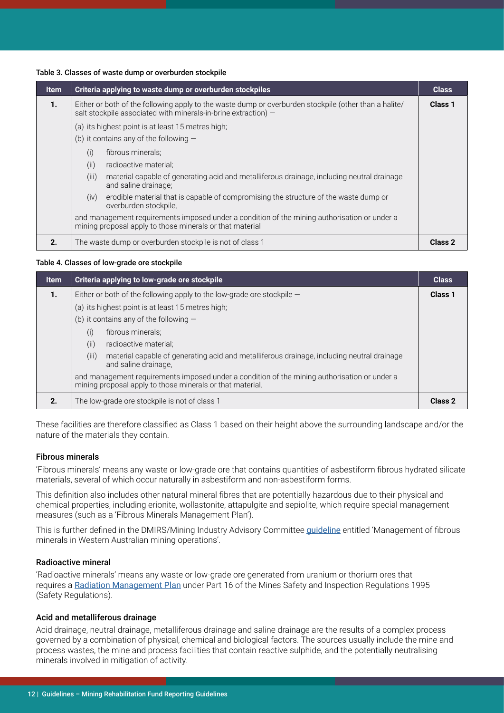#### <span id="page-11-0"></span>Table 3. Classes of waste dump or overburden stockpile

| <b>Item</b> | Criteria applying to waste dump or overburden stockpiles                                                                                                                  | <b>Class</b>   |  |
|-------------|---------------------------------------------------------------------------------------------------------------------------------------------------------------------------|----------------|--|
| 1.          | Either or both of the following apply to the waste dump or overburden stockpile (other than a halite/<br>salt stockpile associated with minerals-in-brine extraction) $-$ |                |  |
|             | (a) its highest point is at least 15 metres high;                                                                                                                         |                |  |
|             | (b) it contains any of the following $-$                                                                                                                                  |                |  |
|             | fibrous minerals;<br>(i)                                                                                                                                                  |                |  |
|             | (ii)<br>radioactive material;                                                                                                                                             |                |  |
|             | (iii)<br>material capable of generating acid and metalliferous drainage, including neutral drainage<br>and saline drainage;                                               |                |  |
|             | erodible material that is capable of compromising the structure of the waste dump or<br>(iv)<br>overburden stockpile,                                                     |                |  |
|             | and management requirements imposed under a condition of the mining authorisation or under a<br>mining proposal apply to those minerals or that material                  |                |  |
| 2.          | The waste dump or overburden stockpile is not of class 1                                                                                                                  | <b>Class 2</b> |  |

#### Table 4. Classes of low-grade ore stockpile

| <b>Item</b> | Criteria applying to low-grade ore stockpile                                                                                                              | <b>Class</b>   |  |  |
|-------------|-----------------------------------------------------------------------------------------------------------------------------------------------------------|----------------|--|--|
| 1.          | Either or both of the following apply to the low-grade ore stockpile $-$                                                                                  |                |  |  |
|             | (a) its highest point is at least 15 metres high;                                                                                                         |                |  |  |
|             | (b) it contains any of the following $-$                                                                                                                  |                |  |  |
|             | fibrous minerals;<br>(i)                                                                                                                                  |                |  |  |
|             | (ii)<br>radioactive material;                                                                                                                             |                |  |  |
|             | (iii)<br>material capable of generating acid and metalliferous drainage, including neutral drainage<br>and saline drainage,                               |                |  |  |
|             | and management requirements imposed under a condition of the mining authorisation or under a<br>mining proposal apply to those minerals or that material. |                |  |  |
| 2.          | The low-grade ore stockpile is not of class 1                                                                                                             | <b>Class 2</b> |  |  |

These facilities are therefore classified as Class 1 based on their height above the surrounding landscape and/or the nature of the materials they contain.

#### Fibrous minerals

'Fibrous minerals' means any waste or low-grade ore that contains quantities of asbestiform fibrous hydrated silicate materials, several of which occur naturally in asbestiform and non-asbestiform forms.

This definition also includes other natural mineral fibres that are potentially hazardous due to their physical and chemical properties, including erionite, wollastonite, attapulgite and sepiolite, which require special management measures (such as a 'Fibrous Minerals Management Plan').

This is further defined in the DMIRS/Mining Industry Advisory Committee [guideline](http://www.dmp.wa.gov.au/Documents/Safety/MSH_G_ManagementOfFibrousMineralsInWaMiningOperations.pdf) entitled 'Management of fibrous minerals in Western Australian mining operations'.

#### Radioactive mineral

'Radioactive minerals' means any waste or low-grade ore generated from uranium or thorium ores that requires a [Radiation Management Plan](http://www.dmp.wa.gov.au/Safety/Submitting-a-radiation-9690.aspx) under Part 16 of the Mines Safety and Inspection Regulations 1995 (Safety Regulations).

#### Acid and metalliferous drainage

Acid drainage, neutral drainage, metalliferous drainage and saline drainage are the results of a complex process governed by a combination of physical, chemical and biological factors. The sources usually include the mine and process wastes, the mine and process facilities that contain reactive sulphide, and the potentially neutralising minerals involved in mitigation of activity.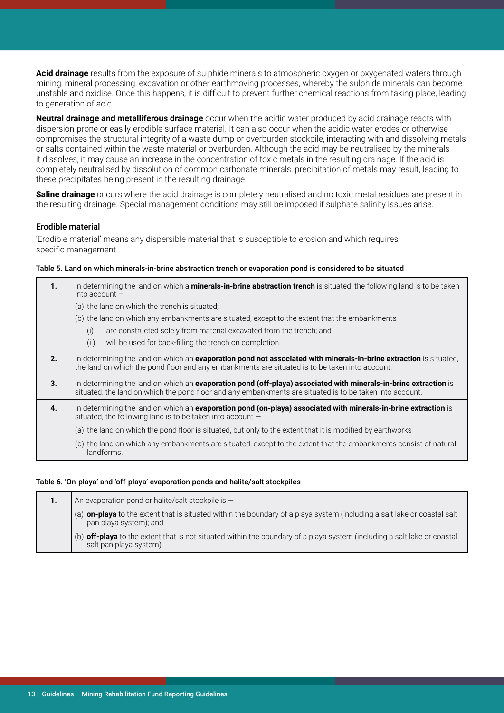**Acid drainage** results from the exposure of sulphide minerals to atmospheric oxygen or oxygenated waters through mining, mineral processing, excavation or other earthmoving processes, whereby the sulphide minerals can become unstable and oxidise. Once this happens, it is difficult to prevent further chemical reactions from taking place, leading to generation of acid.

**Neutral drainage and metalliferous drainage** occur when the acidic water produced by acid drainage reacts with dispersion-prone or easily-erodible surface material. It can also occur when the acidic water erodes or otherwise compromises the structural integrity of a waste dump or overburden stockpile, interacting with and dissolving metals or salts contained within the waste material or overburden. Although the acid may be neutralised by the minerals it dissolves, it may cause an increase in the concentration of toxic metals in the resulting drainage. If the acid is completely neutralised by dissolution of common carbonate minerals, precipitation of metals may result, leading to these precipitates being present in the resulting drainage.

**Saline drainage** occurs where the acid drainage is completely neutralised and no toxic metal residues are present in the resulting drainage. Special management conditions may still be imposed if sulphate salinity issues arise.

#### Erodible material

'Erodible material' means any dispersible material that is susceptible to erosion and which requires specific management.

#### Table 5. Land on which minerals-in-brine abstraction trench or evaporation pond is considered to be situated

| 1. | In determining the land on which a <b>minerals-in-brine abstraction trench</b> is situated, the following land is to be taken<br>into account $-$                                                                            |  |  |  |
|----|------------------------------------------------------------------------------------------------------------------------------------------------------------------------------------------------------------------------------|--|--|--|
|    | (a) the land on which the trench is situated;                                                                                                                                                                                |  |  |  |
|    | (b) the land on which any embankments are situated, except to the extent that the embankments $-$                                                                                                                            |  |  |  |
|    | (i)<br>are constructed solely from material excavated from the trench; and                                                                                                                                                   |  |  |  |
|    | (ii)<br>will be used for back-filling the trench on completion.                                                                                                                                                              |  |  |  |
| 2. | In determining the land on which an evaporation pond not associated with minerals-in-brine extraction is situated,<br>the land on which the pond floor and any embankments are situated is to be taken into account.         |  |  |  |
| 3. | In determining the land on which an evaporation pond (off-playa) associated with minerals-in-brine extraction is<br>situated, the land on which the pond floor and any embankments are situated is to be taken into account. |  |  |  |
| 4. | In determining the land on which an evaporation pond (on-playa) associated with minerals-in-brine extraction is<br>situated, the following land is to be taken into account $-$                                              |  |  |  |
|    | (a) the land on which the pond floor is situated, but only to the extent that it is modified by earthworks                                                                                                                   |  |  |  |
|    | (b) the land on which any embankments are situated, except to the extent that the embankments consist of natural<br>landforms.                                                                                               |  |  |  |

#### Table 6. 'On-playa' and 'off-playa' evaporation ponds and halite/salt stockpiles

| 1. | An evaporation pond or halite/salt stockpile is $-$                                                                                                |
|----|----------------------------------------------------------------------------------------------------------------------------------------------------|
|    | (a) on-playa to the extent that is situated within the boundary of a playa system (including a salt lake or coastal salt<br>pan playa system); and |
|    | (b) off-playa to the extent that is not situated within the boundary of a playa system (including a salt lake or coastal<br>salt pan playa system) |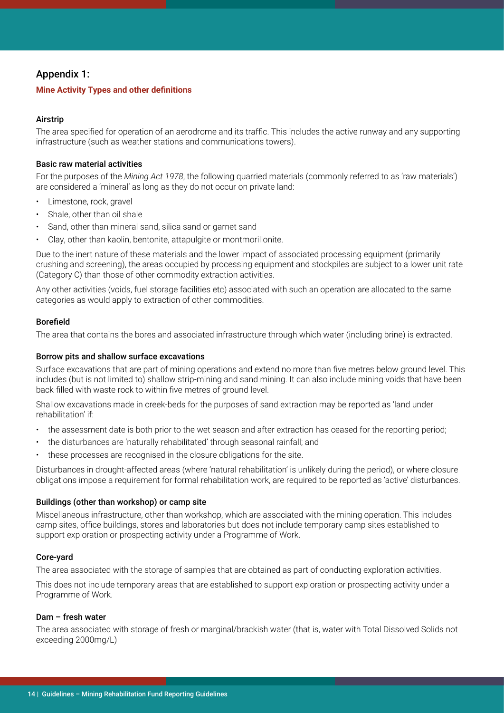# <span id="page-13-0"></span>Appendix 1:

### **Mine Activity Types and other definitions**

## Airstrip

The area specified for operation of an aerodrome and its traffic. This includes the active runway and any supporting infrastructure (such as weather stations and communications towers).

#### Basic raw material activities

For the purposes of the *Mining Act 1978*, the following quarried materials (commonly referred to as 'raw materials') are considered a 'mineral' as long as they do not occur on private land:

- Limestone, rock, gravel
- Shale, other than oil shale
- Sand, other than mineral sand, silica sand or garnet sand
- Clay, other than kaolin, bentonite, attapulgite or montmorillonite.

Due to the inert nature of these materials and the lower impact of associated processing equipment (primarily crushing and screening), the areas occupied by processing equipment and stockpiles are subject to a lower unit rate (Category C) than those of other commodity extraction activities.

Any other activities (voids, fuel storage facilities etc) associated with such an operation are allocated to the same categories as would apply to extraction of other commodities.

#### Borefield

The area that contains the bores and associated infrastructure through which water (including brine) is extracted.

## Borrow pits and shallow surface excavations

Surface excavations that are part of mining operations and extend no more than five metres below ground level. This includes (but is not limited to) shallow strip-mining and sand mining. It can also include mining voids that have been back-filled with waste rock to within five metres of ground level.

Shallow excavations made in creek-beds for the purposes of sand extraction may be reported as 'land under rehabilitation' if:

- the assessment date is both prior to the wet season and after extraction has ceased for the reporting period;
- the disturbances are 'naturally rehabilitated' through seasonal rainfall; and
- these processes are recognised in the closure obligations for the site.

Disturbances in drought-affected areas (where 'natural rehabilitation' is unlikely during the period), or where closure obligations impose a requirement for formal rehabilitation work, are required to be reported as 'active' disturbances.

#### Buildings (other than workshop) or camp site

Miscellaneous infrastructure, other than workshop, which are associated with the mining operation. This includes camp sites, office buildings, stores and laboratories but does not include temporary camp sites established to support exploration or prospecting activity under a Programme of Work.

#### Core-yard

The area associated with the storage of samples that are obtained as part of conducting exploration activities.

This does not include temporary areas that are established to support exploration or prospecting activity under a Programme of Work.

#### Dam – fresh water

The area associated with storage of fresh or marginal/brackish water (that is, water with Total Dissolved Solids not exceeding 2000mg/L)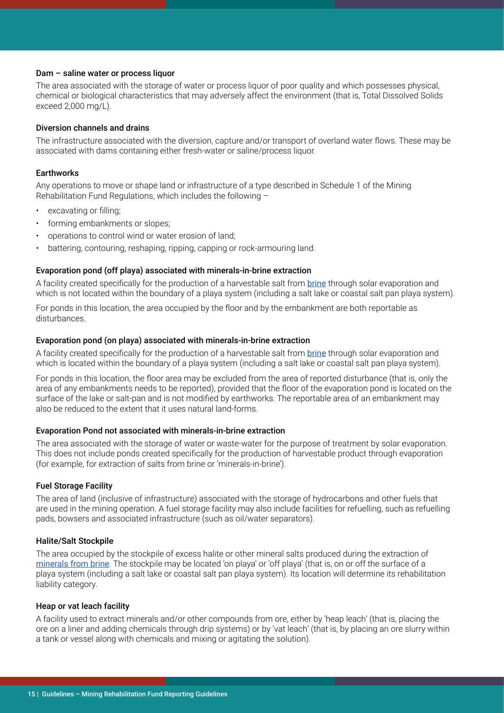#### <span id="page-14-0"></span>Dam – saline water or process liquor

The area associated with the storage of water or process liquor of poor quality and which possesses physical, chemical or biological characteristics that may adversely affect the environment (that is, Total Dissolved Solids exceed 2,000 mg/L).

#### Diversion channels and drains

The infrastructure associated with the diversion, capture and/or transport of overland water flows. These may be associated with dams containing either fresh-water or saline/process liquor.

#### **Earthworks**

Any operations to move or shape land or infrastructure of a type described in Schedule 1 of the Mining Rehabilitation Fund Regulations, which includes the following –

- excavating or filling;
- forming embankments or slopes:
- operations to control wind or water erosion of land;
- battering, contouring, reshaping, ripping, capping or rock-armouring land.

#### Evaporation pond (off playa) associated with minerals-in-brine extraction

A facility created specifically for the production of a harvestable salt from [brine](#page-15-0) through solar evaporation and which is not located within the boundary of a playa system (including a salt lake or coastal salt pan playa system).

For ponds in this location, the area occupied by the floor and by the embankment are both reportable as disturbances.

#### Evaporation pond (on playa) associated with minerals-in-brine extraction

A facility created specifically for the production of a harvestable salt from [brine](#page-15-0) through solar evaporation and which is located within the boundary of a playa system (including a salt lake or coastal salt pan playa system).

For ponds in this location, the floor area may be excluded from the area of reported disturbance (that is, only the area of any embankments needs to be reported), provided that the floor of the evaporation pond is located on the surface of the lake or salt-pan and is not modified by earthworks. The reportable area of an embankment may also be reduced to the extent that it uses natural land-forms.

#### Evaporation Pond not associated with minerals-in-brine extraction

The area associated with the storage of water or waste-water for the purpose of treatment by solar evaporation. This does not include ponds created specifically for the production of harvestable product through evaporation (for example, for extraction of salts from brine or 'minerals-in-brine').

#### Fuel Storage Facility

The area of land (inclusive of infrastructure) associated with the storage of hydrocarbons and other fuels that are used in the mining operation. A fuel storage facility may also include facilities for refuelling, such as refuelling pads, bowsers and associated infrastructure (such as oil/water separators).

#### Halite/Salt Stockpile

The area occupied by the stockpile of excess halite or other mineral salts produced during the extraction of [minerals from brine](#page-15-0). The stockpile may be located 'on playa' or 'off playa' (that is, on or off the surface of a playa system (including a salt lake or coastal salt pan playa system). Its location will determine its rehabilitation liability category.

#### Heap or vat leach facility

A facility used to extract minerals and/or other compounds from ore, either by 'heap leach' (that is, placing the ore on a liner and adding chemicals through drip systems) or by 'vat leach' (that is, by placing an ore slurry within a tank or vessel along with chemicals and mixing or agitating the solution).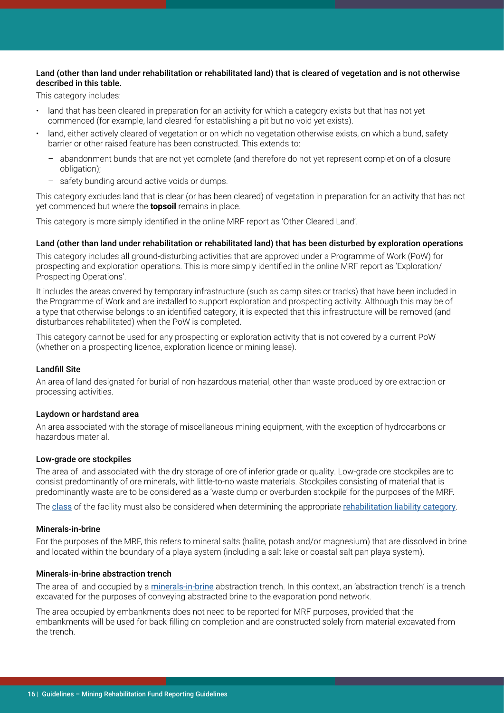#### <span id="page-15-0"></span>Land (other than land under rehabilitation or rehabilitated land) that is cleared of vegetation and is not otherwise described in this table.

This category includes:

- land that has been cleared in preparation for an activity for which a category exists but that has not yet commenced (for example, land cleared for establishing a pit but no void yet exists).
- land, either actively cleared of vegetation or on which no vegetation otherwise exists, on which a bund, safety barrier or other raised feature has been constructed. This extends to:
	- abandonment bunds that are not yet complete (and therefore do not yet represent completion of a closure obligation);
	- safety bunding around active voids or dumps.

This category excludes land that is clear (or has been cleared) of vegetation in preparation for an activity that has not yet commenced but where the **topsoil** remains in place.

This category is more simply identified in the online MRF report as 'Other Cleared Land'.

#### Land (other than land under rehabilitation or rehabilitated land) that has been disturbed by exploration operations

This category includes all ground-disturbing activities that are approved under a Programme of Work (PoW) for prospecting and exploration operations. This is more simply identified in the online MRF report as 'Exploration/ Prospecting Operations'.

It includes the areas covered by temporary infrastructure (such as camp sites or tracks) that have been included in the Programme of Work and are installed to support exploration and prospecting activity. Although this may be of a type that otherwise belongs to an identified category, it is expected that this infrastructure will be removed (and disturbances rehabilitated) when the PoW is completed.

This category cannot be used for any prospecting or exploration activity that is not covered by a current PoW (whether on a prospecting licence, exploration licence or mining lease).

#### Landfill Site

An area of land designated for burial of non-hazardous material, other than waste produced by ore extraction or processing activities.

#### Laydown or hardstand area

An area associated with the storage of miscellaneous mining equipment, with the exception of hydrocarbons or hazardous material.

#### Low-grade ore stockpiles

The area of land associated with the dry storage of ore of inferior grade or quality. Low-grade ore stockpiles are to consist predominantly of ore minerals, with little-to-no waste materials. Stockpiles consisting of material that is predominantly waste are to be considered as a 'waste dump or overburden stockpile' for the purposes of the MRF.

The [class](#page-10-0) of the facility must also be considered when determining the appropriate [rehabilitation liability category](#page-9-0).

#### Minerals-in-brine

For the purposes of the MRF, this refers to mineral salts (halite, potash and/or magnesium) that are dissolved in brine and located within the boundary of a playa system (including a salt lake or coastal salt pan playa system).

#### Minerals-in-brine abstraction trench

The area of land occupied by a minerals-in-brine abstraction trench. In this context, an 'abstraction trench' is a trench excavated for the purposes of conveying abstracted brine to the evaporation pond network.

The area occupied by embankments does not need to be reported for MRF purposes, provided that the embankments will be used for back-filling on completion and are constructed solely from material excavated from the trench.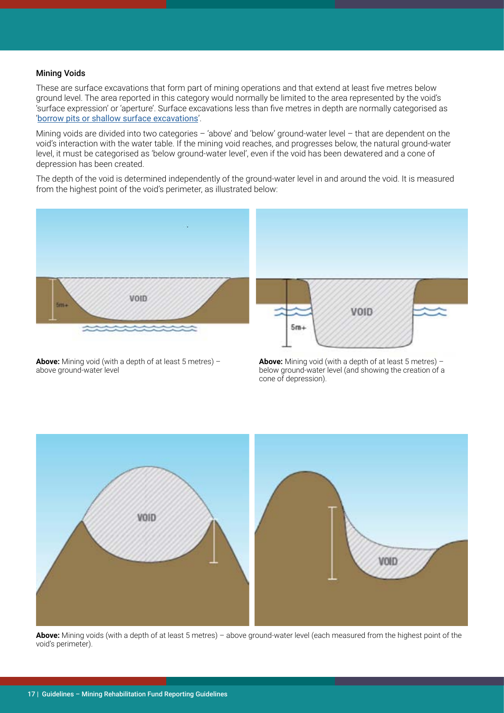#### Mining Voids

These are surface excavations that form part of mining operations and that extend at least five metres below ground level. The area reported in this category would normally be limited to the area represented by the void's 'surface expression' or 'aperture'. Surface excavations less than five metres in depth are normally categorised as '[borrow pits or shallow surface excavations](#page-13-0)'.

Mining voids are divided into two categories – 'above' and 'below' ground-water level – that are dependent on the void's interaction with the water table. If the mining void reaches, and progresses below, the natural ground-water level, it must be categorised as 'below ground-water level', even if the void has been dewatered and a cone of depression has been created.

The depth of the void is determined independently of the ground-water level in and around the void. It is measured from the highest point of the void's perimeter, as illustrated below:



**Above:** Mining void (with a depth of at least 5 metres) – above ground-water level

**Above:** Mining void (with a depth of at least 5 metres) – below ground-water level (and showing the creation of a cone of depression).



**Above:** Mining voids (with a depth of at least 5 metres) – above ground-water level (each measured from the highest point of the void's perimeter).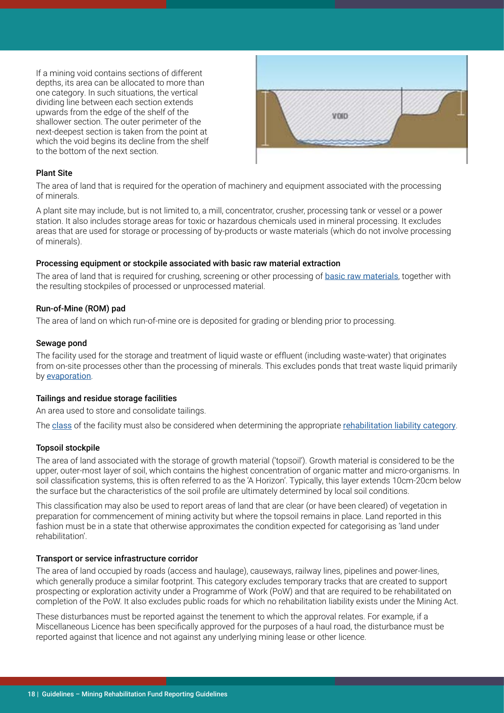If a mining void contains sections of different depths, its area can be allocated to more than one category. In such situations, the vertical dividing line between each section extends upwards from the edge of the shelf of the shallower section. The outer perimeter of the next-deepest section is taken from the point at which the void begins its decline from the shelf to the bottom of the next section.



#### Plant Site

The area of land that is required for the operation of machinery and equipment associated with the processing of minerals.

A plant site may include, but is not limited to, a mill, concentrator, crusher, processing tank or vessel or a power station. It also includes storage areas for toxic or hazardous chemicals used in mineral processing. It excludes areas that are used for storage or processing of by-products or waste materials (which do not involve processing of minerals).

#### Processing equipment or stockpile associated with basic raw material extraction

The area of land that is required for crushing, screening or other processing of [basic raw materials](#page-13-0), together with the resulting stockpiles of processed or unprocessed material.

#### Run-of-Mine (ROM) pad

The area of land on which run-of-mine ore is deposited for grading or blending prior to processing.

#### Sewage pond

The facility used for the storage and treatment of liquid waste or effluent (including waste-water) that originates from on-site processes other than the processing of minerals. This excludes ponds that treat waste liquid primarily by [evaporation](#page-14-0).

#### Tailings and residue storage facilities

An area used to store and consolidate tailings.

The [class](#page-10-0) of the facility must also be considered when determining the appropriate [rehabilitation liability category](#page-9-0).

#### Topsoil stockpile

The area of land associated with the storage of growth material ('topsoil'). Growth material is considered to be the upper, outer-most layer of soil, which contains the highest concentration of organic matter and micro-organisms. In soil classification systems, this is often referred to as the 'A Horizon'. Typically, this layer extends 10cm-20cm below the surface but the characteristics of the soil profile are ultimately determined by local soil conditions.

This classification may also be used to report areas of land that are clear (or have been cleared) of vegetation in preparation for commencement of mining activity but where the topsoil remains in place. Land reported in this fashion must be in a state that otherwise approximates the condition expected for categorising as 'land under rehabilitation'.

#### Transport or service infrastructure corridor

The area of land occupied by roads (access and haulage), causeways, railway lines, pipelines and power-lines, which generally produce a similar footprint. This category excludes temporary tracks that are created to support prospecting or exploration activity under a Programme of Work (PoW) and that are required to be rehabilitated on completion of the PoW. It also excludes public roads for which no rehabilitation liability exists under the Mining Act.

These disturbances must be reported against the tenement to which the approval relates. For example, if a Miscellaneous Licence has been specifically approved for the purposes of a haul road, the disturbance must be reported against that licence and not against any underlying mining lease or other licence.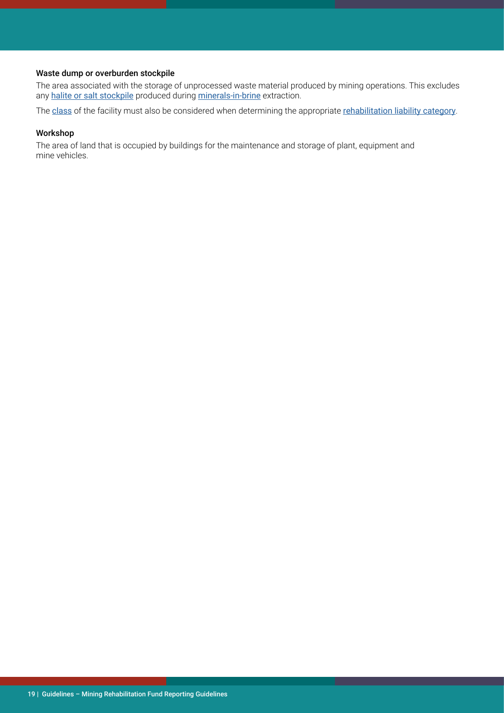## Waste dump or overburden stockpile

The area associated with the storage of unprocessed waste material produced by mining operations. This excludes any [halite or salt stockpile](#page-14-0) produced during [minerals-in-brine](#page-15-0) extraction.

The [class](#page-10-0) of the facility must also be considered when determining the appropriate [rehabilitation liability category](#page-9-0).

#### Workshop

The area of land that is occupied by buildings for the maintenance and storage of plant, equipment and mine vehicles.